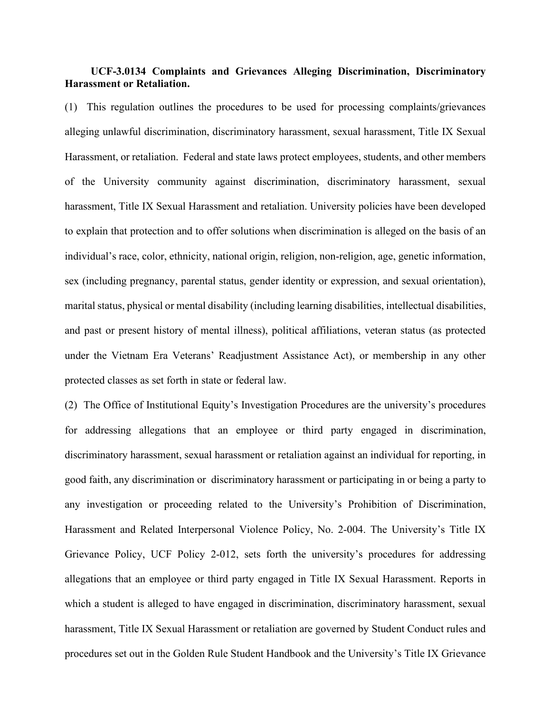## **UCF-3.0134 Complaints and Grievances Alleging Discrimination, Discriminatory Harassment or Retaliation.**

(1) This regulation outlines the procedures to be used for processing complaints/grievances alleging unlawful discrimination, discriminatory harassment, sexual harassment, Title IX Sexual Harassment, or retaliation. Federal and state laws protect employees, students, and other members of the University community against discrimination, discriminatory harassment, sexual harassment, Title IX Sexual Harassment and retaliation. University policies have been developed to explain that protection and to offer solutions when discrimination is alleged on the basis of an individual's race, color, ethnicity, national origin, religion, non-religion, age, genetic information, sex (including pregnancy, parental status, gender identity or expression, and sexual orientation), marital status, physical or mental disability (including learning disabilities, intellectual disabilities, and past or present history of mental illness), political affiliations, veteran status (as protected under the Vietnam Era Veterans' Readjustment Assistance Act), or membership in any other protected classes as set forth in state or federal law.

(2) The Office of Institutional Equity's Investigation Procedures are the university's procedures for addressing allegations that an employee or third party engaged in discrimination, discriminatory harassment, sexual harassment or retaliation against an individual for reporting, in good faith, any discrimination or discriminatory harassment or participating in or being a party to any investigation or proceeding related to the University's Prohibition of Discrimination, Harassment and Related Interpersonal Violence Policy, No. 2-004. The University's Title IX Grievance Policy, UCF Policy 2-012, sets forth the university's procedures for addressing allegations that an employee or third party engaged in Title IX Sexual Harassment. Reports in which a student is alleged to have engaged in discrimination, discriminatory harassment, sexual harassment, Title IX Sexual Harassment or retaliation are governed by Student Conduct rules and procedures set out in the Golden Rule Student Handbook and the University's Title IX Grievance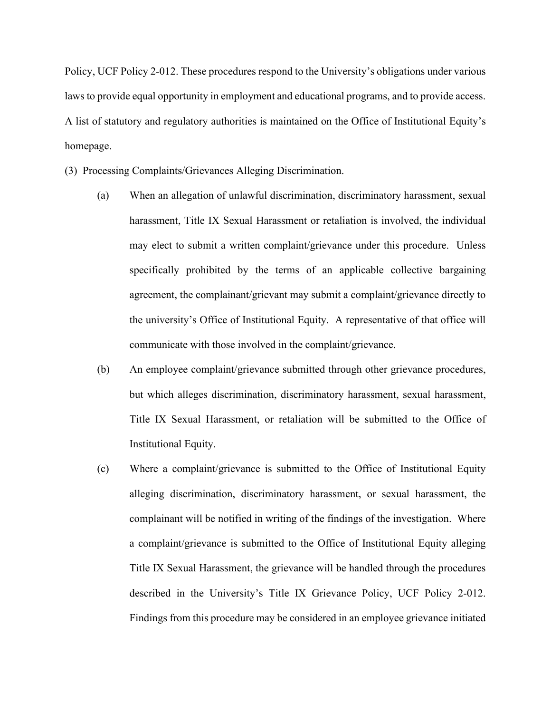Policy, UCF Policy 2-012. These procedures respond to the University's obligations under various laws to provide equal opportunity in employment and educational programs, and to provide access. A list of statutory and regulatory authorities is maintained on the Office of Institutional Equity's homepage.

(3) Processing Complaints/Grievances Alleging Discrimination.

- (a) When an allegation of unlawful discrimination, discriminatory harassment, sexual harassment, Title IX Sexual Harassment or retaliation is involved, the individual may elect to submit a written complaint/grievance under this procedure. Unless specifically prohibited by the terms of an applicable collective bargaining agreement, the complainant/grievant may submit a complaint/grievance directly to the university's Office of Institutional Equity. A representative of that office will communicate with those involved in the complaint/grievance.
- (b) An employee complaint/grievance submitted through other grievance procedures, but which alleges discrimination, discriminatory harassment, sexual harassment, Title IX Sexual Harassment, or retaliation will be submitted to the Office of Institutional Equity.
- (c) Where a complaint/grievance is submitted to the Office of Institutional Equity alleging discrimination, discriminatory harassment, or sexual harassment, the complainant will be notified in writing of the findings of the investigation. Where a complaint/grievance is submitted to the Office of Institutional Equity alleging Title IX Sexual Harassment, the grievance will be handled through the procedures described in the University's Title IX Grievance Policy, UCF Policy 2-012. Findings from this procedure may be considered in an employee grievance initiated